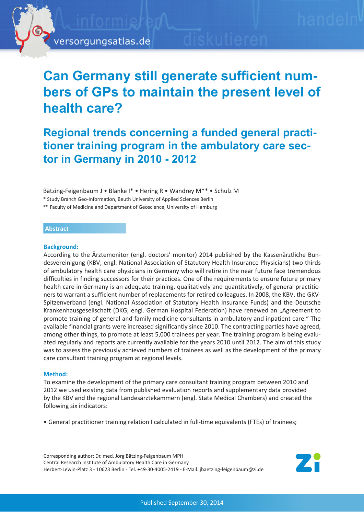# **Can Germany still generate sufficient numbers of GPs to maintain the present level of health care?**

# **Regional trends concerning a funded general practitioner training program in the ambulatory care sector in Germany in 2010 - 2012**

Bätzing-Feigenbaum J • Blanke I\* • Hering R • Wandrey M\*\* • Schulz M

\* Study Branch Geo-Information, Beuth University of Applied Sciences Berlin

\*\* Faculty of Medicine and Department of Geoscience, University of Hamburg

## **Abstract**

#### **Background:**

According to the Ärztemonitor (engl. doctors' monitor) 2014 published by the Kassenärztliche Bundesvereinigung (KBV; engl. National Association of Statutory Health Insurance Physicians) two thirds of ambulatory health care physicians in Germany who will retire in the near future face tremendous difficulties in finding successors for their practices. One of the requirements to ensure future primary health care in Germany is an adequate training, qualitatively and quantitatively, of general practitioners to warrant a sufficient number of replacements for retired colleagues. In 2008, the KBV, the GKV-Spitzenverband (engl. National Association of Statutory Health Insurance Funds) and the Deutsche Krankenhausgesellschaft (DKG; engl. German Hospital Federation) have renewed an "Agreement to promote training of general and family medicine consultants in ambulatory and inpatient care." The available financial grants were increased significantly since 2010. The contracting parties have agreed, among other things, to promote at least 5,000 trainees per year. The training program is being evaluated regularly and reports are currently available for the years 2010 until 2012. The aim of this study was to assess the previously achieved numbers of trainees as well as the development of the primary care consultant training program at regional levels.

## **Method:**

To examine the development of the primary care consultant training program between 2010 and 2012 we used existing data from published evaluation reports and supplementary data provided by the KBV and the regional Landesärztekammern (engl. State Medical Chambers) and created the following six indicators:

• General practitioner training relation I calculated in full-time equivalents (FTEs) of trainees;

Corresponding author: Dr. med. Jörg Bätzing-Feigenbaum MPH Central Research Institute of Ambulatory Health Care in Germany Herbert-Lewin-Platz 3 - 10623 Berlin - Tel. +49-30-4005-2419 - E-Mail: jbaetzing-feigenbaum@zi.de